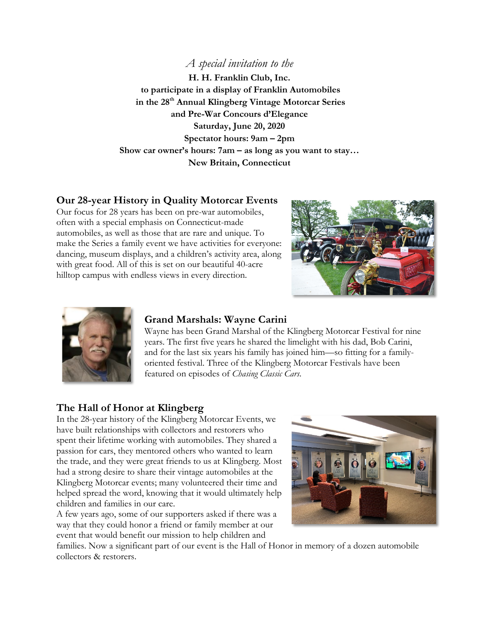## *A special invitation to the*

**H. H. Franklin Club, Inc. to participate in a display of Franklin Automobiles in the 28th Annual Klingberg Vintage Motorcar Series and Pre-War Concours d'Elegance Saturday, June 20, 2020 Spectator hours: 9am – 2pm Show car owner's hours: 7am – as long as you want to stay… New Britain, Connecticut**

## **Our 28-year History in Quality Motorcar Events**

Our focus for 28 years has been on pre-war automobiles, often with a special emphasis on Connecticut-made automobiles, as well as those that are rare and unique. To make the Series a family event we have activities for everyone: dancing, museum displays, and a children's activity area, along with great food. All of this is set on our beautiful 40-acre hilltop campus with endless views in every direction.





### **Grand Marshals: Wayne Carini**

Wayne has been Grand Marshal of the Klingberg Motorcar Festival for nine years. The first five years he shared the limelight with his dad, Bob Carini, and for the last six years his family has joined him—so fitting for a familyoriented festival. Three of the Klingberg Motorcar Festivals have been featured on episodes of *Chasing Classic Cars*.

### **The Hall of Honor at Klingberg**

In the 28-year history of the Klingberg Motorcar Events, we have built relationships with collectors and restorers who spent their lifetime working with automobiles. They shared a passion for cars, they mentored others who wanted to learn the trade, and they were great friends to us at Klingberg. Most had a strong desire to share their vintage automobiles at the Klingberg Motorcar events; many volunteered their time and helped spread the word, knowing that it would ultimately help children and families in our care.

A few years ago, some of our supporters asked if there was a way that they could honor a friend or family member at our event that would benefit our mission to help children and



families. Now a significant part of our event is the Hall of Honor in memory of a dozen automobile collectors & restorers.